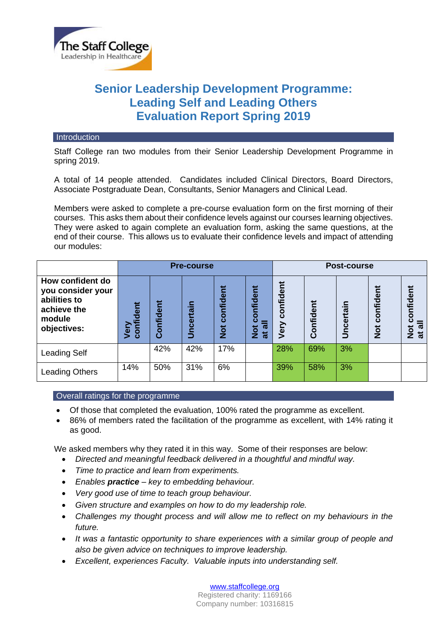

# **Senior Leadership Development Programme: Leading Self and Leading Others Evaluation Report Spring 2019**

#### **Introduction**

Staff College ran two modules from their Senior Leadership Development Programme in spring 2019.

A total of 14 people attended. Candidates included Clinical Directors, Board Directors, Associate Postgraduate Dean, Consultants, Senior Managers and Clinical Lead.

Members were asked to complete a pre-course evaluation form on the first morning of their courses. This asks them about their confidence levels against our courses learning objectives. They were asked to again complete an evaluation form, asking the same questions, at the end of their course. This allows us to evaluate their confidence levels and impact of attending our modules:

|                                                                                               | <b>Pre-course</b>                             |           |                   |                               |                                                                              | Post-course          |                 |                              |                                                                 |                                               |
|-----------------------------------------------------------------------------------------------|-----------------------------------------------|-----------|-------------------|-------------------------------|------------------------------------------------------------------------------|----------------------|-----------------|------------------------------|-----------------------------------------------------------------|-----------------------------------------------|
| How confident do<br>you consider your<br>abilities to<br>achieve the<br>module<br>objectives: | Ë<br>$\overline{\mathbf{a}}$<br>confi<br>Very | Confident | ⊂<br>≔<br>Uncerta | Ĕ<br>confide<br>$\frac{1}{2}$ | ቹ<br>nfider<br>ō<br>$\boldsymbol{\varpi}$<br>$\frac{1}{2}$<br>$\overline{a}$ | nfident<br>ē<br>Very | nfident<br>ပ္ပြ | ⊂<br>≔<br>ត្ត<br>Φ<br>ĕ<br>⋾ | ัี่<br><u>iopi</u><br>Έ<br>$\overline{O}$<br>ပ<br>$\frac{1}{2}$ | confident<br>᠊ᢛ<br>$\frac{1}{2}$<br>$\vec{a}$ |
| <b>Leading Self</b>                                                                           |                                               | 42%       | 42%               | 17%                           |                                                                              | 28%                  | 69%             | 3%                           |                                                                 |                                               |
| <b>Leading Others</b>                                                                         | 14%                                           | 50%       | 31%               | 6%                            |                                                                              | 39%                  | 58%             | 3%                           |                                                                 |                                               |

### Overall ratings for the programme

- Of those that completed the evaluation, 100% rated the programme as excellent.
- 86% of members rated the facilitation of the programme as excellent, with 14% rating it as good.

We asked members why they rated it in this way. Some of their responses are below:

- *Directed and meaningful feedback delivered in a thoughtful and mindful way.*
- *Time to practice and learn from experiments.*
- *Enables practice – key to embedding behaviour.*
- *Very good use of time to teach group behaviour.*
- *Given structure and examples on how to do my leadership role.*
- *Challenges my thought process and will allow me to reflect on my behaviours in the future.*
- *It was a fantastic opportunity to share experiences with a similar group of people and also be given advice on techniques to improve leadership.*
- *Excellent, experiences Faculty. Valuable inputs into understanding self.*

[www.staffcollege.org](http://www.staffcollege.org/) Registered charity: 1169166 Company number: 10316815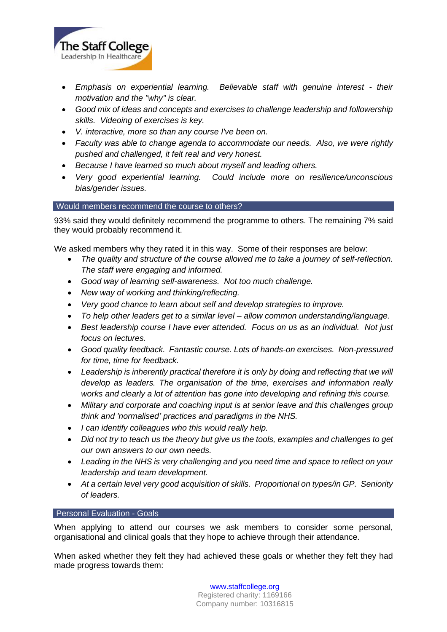

- *Emphasis on experiential learning. Believable staff with genuine interest - their motivation and the "why" is clear.*
- *Good mix of ideas and concepts and exercises to challenge leadership and followership skills. Videoing of exercises is key.*
- *V. interactive, more so than any course I've been on.*
- *Faculty was able to change agenda to accommodate our needs. Also, we were rightly pushed and challenged, it felt real and very honest.*
- *Because I have learned so much about myself and leading others.*
- *Very good experiential learning. Could include more on resilience/unconscious bias/gender issues.*

# Would members recommend the course to others?

93% said they would definitely recommend the programme to others. The remaining 7% said they would probably recommend it.

We asked members why they rated it in this way. Some of their responses are below:

- *The quality and structure of the course allowed me to take a journey of self-reflection. The staff were engaging and informed.*
- *Good way of learning self-awareness. Not too much challenge.*
- *New way of working and thinking/reflecting.*
- *Very good chance to learn about self and develop strategies to improve.*
- *To help other leaders get to a similar level – allow common understanding/language.*
- *Best leadership course I have ever attended. Focus on us as an individual. Not just focus on lectures.*
- *Good quality feedback. Fantastic course. Lots of hands-on exercises. Non-pressured for time, time for feedback.*
- *Leadership is inherently practical therefore it is only by doing and reflecting that we will develop as leaders. The organisation of the time, exercises and information really works and clearly a lot of attention has gone into developing and refining this course.*
- *Military and corporate and coaching input is at senior leave and this challenges group think and 'normalised' practices and paradigms in the NHS.*
- *I can identify colleagues who this would really help.*
- *Did not try to teach us the theory but give us the tools, examples and challenges to get our own answers to our own needs.*
- *Leading in the NHS is very challenging and you need time and space to reflect on your leadership and team development.*
- *At a certain level very good acquisition of skills. Proportional on types/in GP. Seniority of leaders.*

# **Personal Evaluation - Goals**

When applying to attend our courses we ask members to consider some personal, organisational and clinical goals that they hope to achieve through their attendance.

When asked whether they felt they had achieved these goals or whether they felt they had made progress towards them:

> [www.staffcollege.org](http://www.staffcollege.org/) Registered charity: 1169166 Company number: 10316815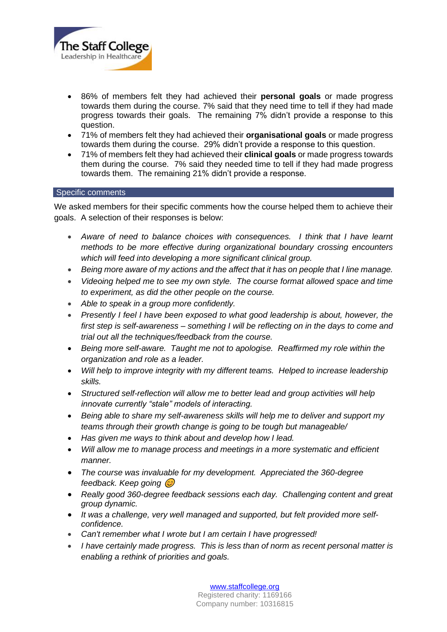

- 86% of members felt they had achieved their **personal goals** or made progress towards them during the course. 7% said that they need time to tell if they had made progress towards their goals. The remaining 7% didn't provide a response to this question.
- 71% of members felt they had achieved their **organisational goals** or made progress towards them during the course. 29% didn't provide a response to this question.
- 71% of members felt they had achieved their **clinical goals** or made progress towards them during the course. 7% said they needed time to tell if they had made progress towards them. The remaining 21% didn't provide a response.

### Specific comments

We asked members for their specific comments how the course helped them to achieve their goals. A selection of their responses is below:

- *Aware of need to balance choices with consequences. I think that I have learnt methods to be more effective during organizational boundary crossing encounters which will feed into developing a more significant clinical group.*
- *Being more aware of my actions and the affect that it has on people that I line manage.*
- *Videoing helped me to see my own style. The course format allowed space and time to experiment, as did the other people on the course.*
- *Able to speak in a group more confidently.*
- *Presently I feel I have been exposed to what good leadership is about, however, the first step is self-awareness – something I will be reflecting on in the days to come and trial out all the techniques/feedback from the course.*
- *Being more self-aware. Taught me not to apologise. Reaffirmed my role within the organization and role as a leader.*
- *Will help to improve integrity with my different teams. Helped to increase leadership skills.*
- *Structured self-reflection will allow me to better lead and group activities will help innovate currently "stale" models of interacting.*
- *Being able to share my self-awareness skills will help me to deliver and support my teams through their growth change is going to be tough but manageable/*
- *Has given me ways to think about and develop how I lead.*
- *Will allow me to manage process and meetings in a more systematic and efficient manner.*
- *The course was invaluable for my development. Appreciated the 360-degree feedback. Keep going*
- *Really good 360-degree feedback sessions each day. Challenging content and great group dynamic.*
- It was a challenge, very well managed and supported, but felt provided more self*confidence.*
- *Can't remember what I wrote but I am certain I have progressed!*
- *I have certainly made progress. This is less than of norm as recent personal matter is enabling a rethink of priorities and goals.*